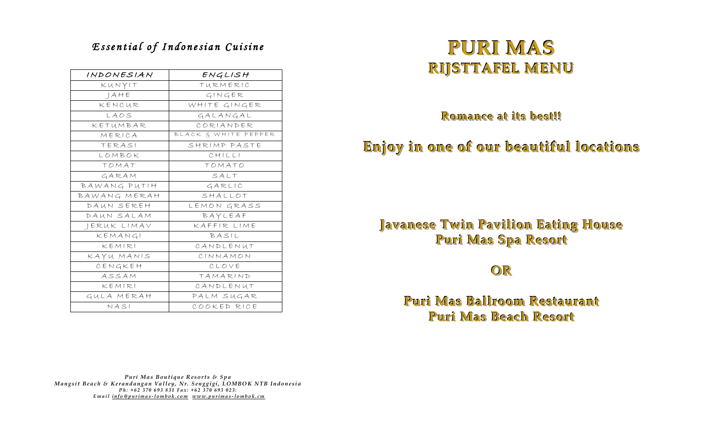## *E s s e n t i a l o f I n d o n e s i a n C u i s i n e*

| INDONESIAN   | ENGLISH              |
|--------------|----------------------|
| KUNYIT       | TURMERIC             |
| AHE          | GINGER               |
| KENCUR       | WHITE GINGER         |
| LAOS         | GALANGAL             |
| KETUMBAR     | CORIANDER            |
| MERICA       | BLACK & WHITE PEPPER |
| TERASI       | SHRIMP PASTE         |
| LOMBOK       | CHILLI               |
| TOMAT        | TOMATO               |
| GARAM        | SALT                 |
| BAWANG PUTIH | GARLIC               |
| BAWANG MERAH | SHALLOT              |
| DAUN SEREH   | LEMON GRASS          |
| DAUN SALAM   | BAYLEAF              |
| JERUK LIMAV  | KAFFIR LIME          |
| KEMANGI      | BASIL                |
| KEMIRI       | CANDLENUT            |
| KAYU MANIS   | CINNAMON             |
| CENGKEH      | CLOVE                |
| ASSAM        | TAMARIND             |
| KEMIRI       | CANDLENUT            |
| GULA MERAH   | PALM SUGAR           |
| NASI         | COOKED RICE          |

# **PURI MAS RIJSTTAFEL MENU**

**Romance at its best!!!!**

## **Enjoy in one of our beautiful locations**

## **Javanese Twin Pavilion Eating House Puri Mas Spa Resort**

## **OR**

## **Puri Mas Ballroom Restaurant Puri Mas Beach Resort**

*Puri Mas Boutique Resorts & Spa Mangsit Beach & Kerandangan Valley, Nr. Senggigi, LOMBOK NTB Indonesia Ph*: +62 370 693 831 Fax: +62 370 693 023: *E m a i l [i n f o @ p u r i m a s](mailto:info@purimas-lombok.com) -l o m b o k . c o m [w w w . p u r i m a s](http://www.purimas-lombok.cm/) -l o m b o k . c m*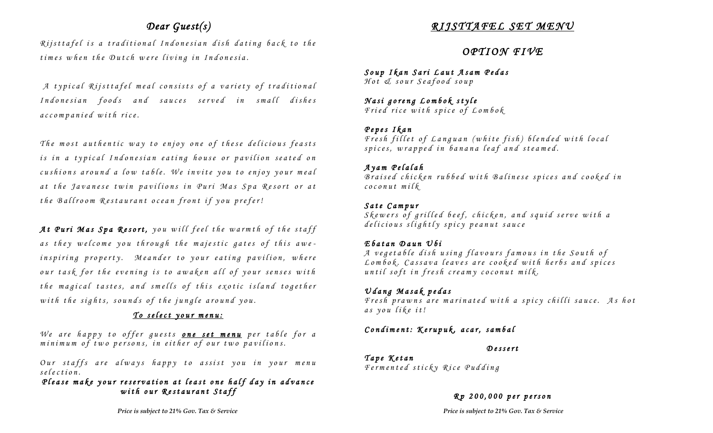## *Dear Guest(s)*

*Rijsttafel is a traditional Indonesian dish dating back to the times when the Dutch were living in Indonesia.* 

*A typical Rijsttafel meal consists of a variety of traditional* Indonesian foods and sauces served in small dishes *a c c o m p a n i e d w i t h r i c e .* 

*The most authentic way to enjoy one of these delicious feasts is in a typical Indonesian eating house or pavilion seated on cushions around a low table. We invite you to enjoy your meal a t t h e J a v a n e s e t w i n p a v i l i o n s i n P u r i M a s S p a R e s o r t o r a t the Ballroom Restaurant ocean front if you prefer!* 

At Puri Mas Spa Resort, you will feel the warmth of the staff as they welcome you through the majestic gates of this awe*inspiring property. Meander to your eating pavilion, where our task for the evening is to awaken all of your senses with the magical tastes, and smells of this exotic island together* with the sights, sounds of the jungle around you.

#### *To select your menu:*

*We are happy to offer guests one set menu per table for a minimum of two persons, in either of our two pavilions.* 

*Our staffs are always happy to assist you in your menu s e l e c t i o n .*

*Please make your reservation at least one half day in advance with our Restaurant Staff* 

## *R I J S T T A F E L S E T M E N U*

## *O P T I O N F I V E*

*S o u p I k a n S a r i L a u t A s a m P e d a s H o t & s o u r S e a f o o d s o u p*

*<u>Nasi goreng Lombok</u> style F r i e d r i c e w i t h s p i c e o f L o m b o k*

#### *P e p e s I k a n*

*Fresh fillet of Languan (white fish) blended with local s p i c e s , w r a p p e d i n b a n a n a l e a f a n d s t e a m e d .*

#### *A y a m P e l a l a h*

*B r a i s e d c h i c k e n r u b b e d w i t h B a l i n e s e s p i c e s a n d c o o k e d i n c o c o n u t m i l k*

#### *S a t e C a m p u r*

*S k e w e r s o f g r i l l e d b e e f , c h i c k e n , a n d s q u i d s e r v e w i t h a d e l i c i o u s s l i g h t l y s p i c y p e a n u t s a u c e*

#### *E b a t a n D a u n U b i*

A vegetable dish using flavours famous in the South of Lombok. Cassava leaves are cooked with herbs and spices *until soft in fresh creamy coconut milk.* 

#### $U$ *dang* Masak pedas

Fresh prawns are marinated with a spicy chilli sauce. As hot *a s y o u l i k e i t !*

#### *Condiment: Kerupuk, acar, sambal*

#### *D e s s e r t*

*T a p e K e t a n F e r m e n t e d s t i c k y R i c e P u d d i n g*

#### *R p 200 , 0 0 0 p e r p e r s o n*

*Price is subject to 21% Gov. Tax & Service**Price is subject to 21% Gov. Tax & Service*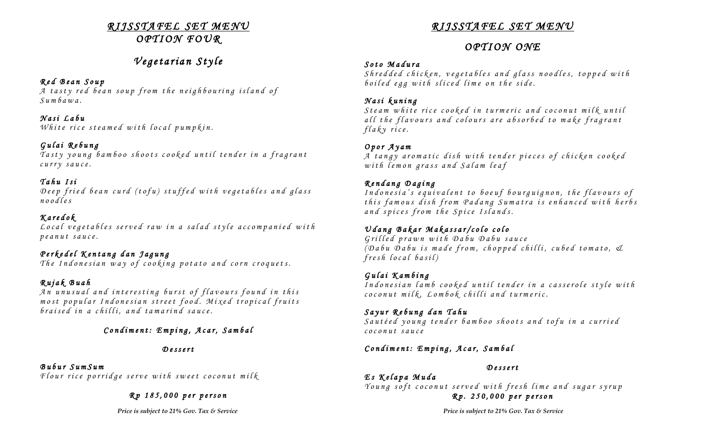### *R I J S S T A F E L S E T M E N U O P T I O N F O U R*

## *V e g e t a r i a n S t y l e*

#### *R e d B e a n S o u p*

A tasty red bean soup from the neighbouring island of *S u m b a w a .*

#### *N a s i L a b u*

*White rice steamed with local pumpkin.* 

### *G u l a i R e b u n g*

*Tasty young bamboo shoots cooked until tender in a fragrant c u r r y s a u c e .*

### *T a h u I s i*

Deep fried bean curd (tofu) stuffed with vegetables and glass *n o o d l e s* 

#### *K a r e d o k L o c a l v e g e t a b l e s s e r v e d r a w i n a s a l a d s t y l e a c c o m p a n i e d w i t h p e a n u t s a u c e .*

## *P e r k e d e l K e n t a n g d a n J a g u n g*

*The Indonesian way of cooking potato and corn croquets.* 

## *R u j a k B u a h*

An unusual and interesting burst of flavours found in this *m o s t p o p u l a r I n d o n e s i a n s t r e e t f o o d . M i x e d t r o p i c a l f r u i t s b r a i s e d i n a c h i l l i , a n d t a m a r i n d s a u c e .* 

## *C o n d i m e n t : E m p i n g , A c a r , S a m b a l*

#### *D e s s e r t*

## *B u b u r S u m S u m*

*Flour rice porridge serve with sweet coconut milk* 

#### *R p 185 , 0 0 0 p e r p e r s o n*

## *R I J S S T A F E L S E T M E N U*

## *O P T I O N O N E*

#### *S o t o M a d u r a*

*S h r e d d e d c h i c k e n , v e g e t a b l e s a n d g l a s s n o o d l e s , t o p p e d w i t h b o i l e d e g g w i t h s l i c e d l i m e o n t h e s i d e .*

#### *N a s i k u n i n g*

*Steam white rice cooked in turmeric and coconut milk until* all the flavours and colours are absorbed to make fragrant *f l a k y r i c e .*

### *O p o r A y a m*

*A t a n g y a r o m a t i c d i s h w i t h te n d e r p i e c e s o f c h i c k e n c o o k e d w i t h l e m o n g r a s s a n d S a l a m l e a f*

### *R e n d a n g D a g i n g*

*Indonesia's equivalent to boeuf bourguignon, the flavours of t h i s f a m o u s d i s h f r o m P a d a n g S u m a t r a i s e n h a n c e d w i t h h e r b s a n d s p i c e s f r o m t h e S p i c e I s l a n d s .* 

## U dang Bakar Makassar/colo colo

*G r i l l e d p r a w n w i t h D a b u D a b u s a u c e ( D a b u D a b u i s m a d e f r o m , c h o p p e d c h i l l i , c u b e d t o m a t o , & f r e s h l o c a l b a s i l )*

#### *G u l a i K a m b i n g*

*I n d o n e s i a n l a m b c o o k e d u n t i l t e n d e r i n a c a s s e r o l e s t y l e w i t h c o c o n u t m i l k , L o m b o k c h i l l i a n d t u r m e r i c .*

#### $S$ ayur Rebung dan Tahu

*S a u t é e d y o u n g t e n d e r b a m b o o s h o o t s a n d t o f u i n a c u r r i e d c o c o n u t s a u c e*

#### *C o n d i m e n t : E m p i n g , A c a r , S a m b a l*

#### *D e s s e r t*

*E s K e l a p a M u d a Young soft coconut served with fresh lime and sugar syrup R p . 2 5 0 , 0 0 0 p e r p e r s o n*

*Price is subject to 21% Gov. Tax & Service**Price is subject to 21% Gov. Tax & Service*